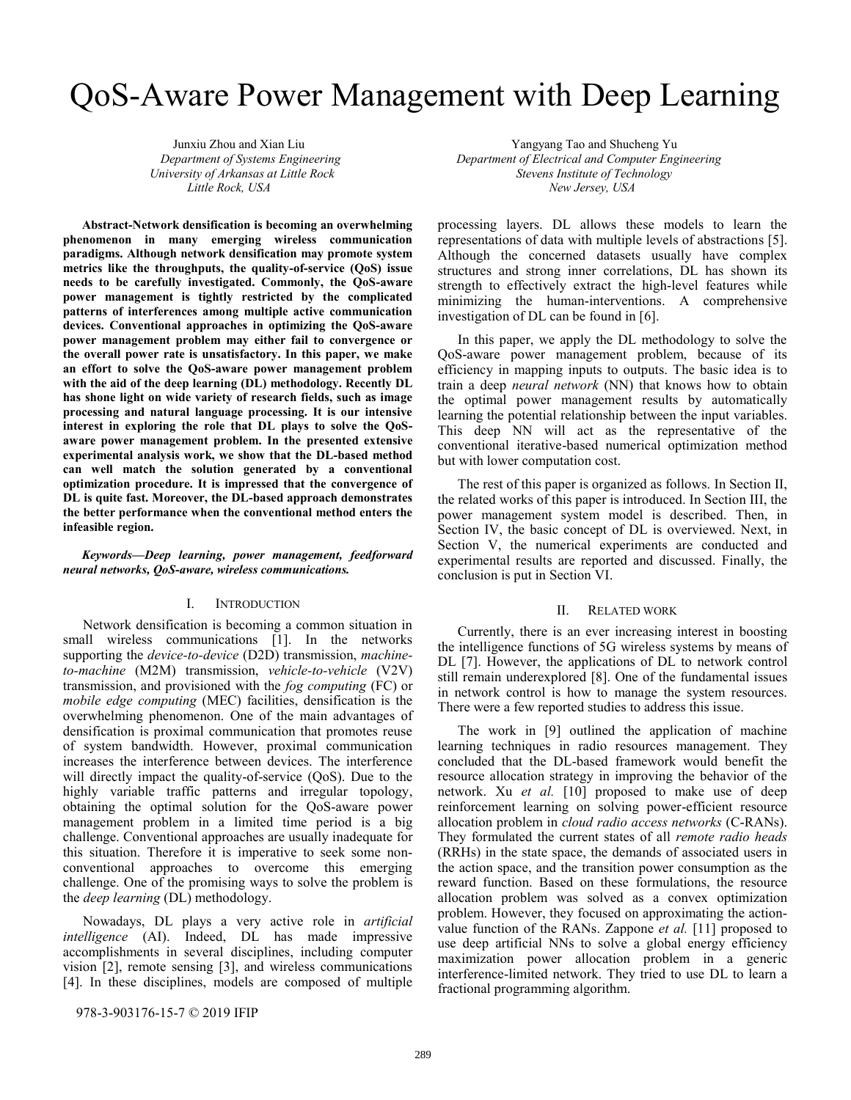# QoS-Aware Power Management with Deep Learning

**Abstract-Network densification is becoming an overwhelming phenomenon in many emerging wireless communication paradigms. Although network densification may promote system metrics like the throughputs, the quality-of-service (QoS) issue needs to be carefully investigated. Commonly, the QoS-aware power management is tightly restricted by the complicated patterns of interferences among multiple active communication devices. Conventional approaches in optimizing the QoS-aware power management problem may either fail to convergence or the overall power rate is unsatisfactory. In this paper, we make an effort to solve the QoS-aware power management problem with the aid of the deep learning (DL) methodology. Recently DL has shone light on wide variety of research fields, such as image processing and natural language processing. It is our intensive interest in exploring the role that DL plays to solve the QoSaware power management problem. In the presented extensive experimental analysis work, we show that the DL-based method can well match the solution generated by a conventional optimization procedure. It is impressed that the convergence of DL is quite fast. Moreover, the DL-based approach demonstrates the better performance when the conventional method enters the infeasible region.**

## *Keywords—Deep learning, power management, feedforward neural networks, QoS-aware, wireless communications.*

## I. INTRODUCTION

Network densification is becoming a common situation in small wireless communications [1]. In the networks supporting the *device-to-device* (D2D) transmission, *machineto-machine* (M2M) transmission, *vehicle-to-vehicle* (V2V) transmission, and provisioned with the *fog computing* (FC) or *mobile edge computing* (MEC) facilities, densification is the overwhelming phenomenon. One of the main advantages of densification is proximal communication that promotes reuse of system bandwidth. However, proximal communication increases the interference between devices. The interference will directly impact the quality-of-service (QoS). Due to the highly variable traffic patterns and irregular topology, obtaining the optimal solution for the QoS-aware power management problem in a limited time period is a big challenge. Conventional approaches are usually inadequate for this situation. Therefore it is imperative to seek some nonconventional approaches to overcome this emerging challenge. One of the promising ways to solve the problem is the *deep learning* (DL) methodology.

Nowadays, DL plays a very active role in *artificial intelligence* (AI). Indeed, DL has made impressive accomplishments in several disciplines, including computer vision [2], remote sensing [3], and wireless communications [4]. In these disciplines, models are composed of multiple

 Junxiu Zhou and Xian Liu Yangyang Tao and Shucheng Yu *Department of Systems Engineering Department of Electrical and Computer Engineering University of Arkansas at Little Rock Stevens Institute of Technology Little Rock, USA* New Jersey, USA

> processing layers. DL allows these models to learn the representations of data with multiple levels of abstractions [5]. Although the concerned datasets usually have complex structures and strong inner correlations, DL has shown its strength to effectively extract the high-level features while minimizing the human-interventions. A comprehensive investigation of DL can be found in [6].

> In this paper, we apply the DL methodology to solve the QoS-aware power management problem, because of its efficiency in mapping inputs to outputs. The basic idea is to train a deep *neural network* (NN) that knows how to obtain the optimal power management results by automatically learning the potential relationship between the input variables. This deep NN will act as the representative of the conventional iterative-based numerical optimization method but with lower computation cost.

> The rest of this paper is organized as follows. In Section II, the related works of this paper is introduced. In Section III, the power management system model is described. Then, in Section IV, the basic concept of DL is overviewed. Next, in Section V, the numerical experiments are conducted and experimental results are reported and discussed. Finally, the conclusion is put in Section VI.

## II. RELATED WORK

Currently, there is an ever increasing interest in boosting the intelligence functions of 5G wireless systems by means of DL [7]. However, the applications of DL to network control still remain underexplored [8]. One of the fundamental issues in network control is how to manage the system resources. There were a few reported studies to address this issue.

The work in [9] outlined the application of machine learning techniques in radio resources management. They concluded that the DL-based framework would benefit the resource allocation strategy in improving the behavior of the network. Xu *et al.* [10] proposed to make use of deep reinforcement learning on solving power-efficient resource allocation problem in *cloud radio access networks* (C-RANs). They formulated the current states of all *remote radio heads* (RRHs) in the state space, the demands of associated users in the action space, and the transition power consumption as the reward function. Based on these formulations, the resource allocation problem was solved as a convex optimization problem. However, they focused on approximating the actionvalue function of the RANs. Zappone *et al.* [11] proposed to use deep artificial NNs to solve a global energy efficiency maximization power allocation problem in a generic interference-limited network. They tried to use DL to learn a fractional programming algorithm.

978-3-903176-15-7 © 2019 IFIP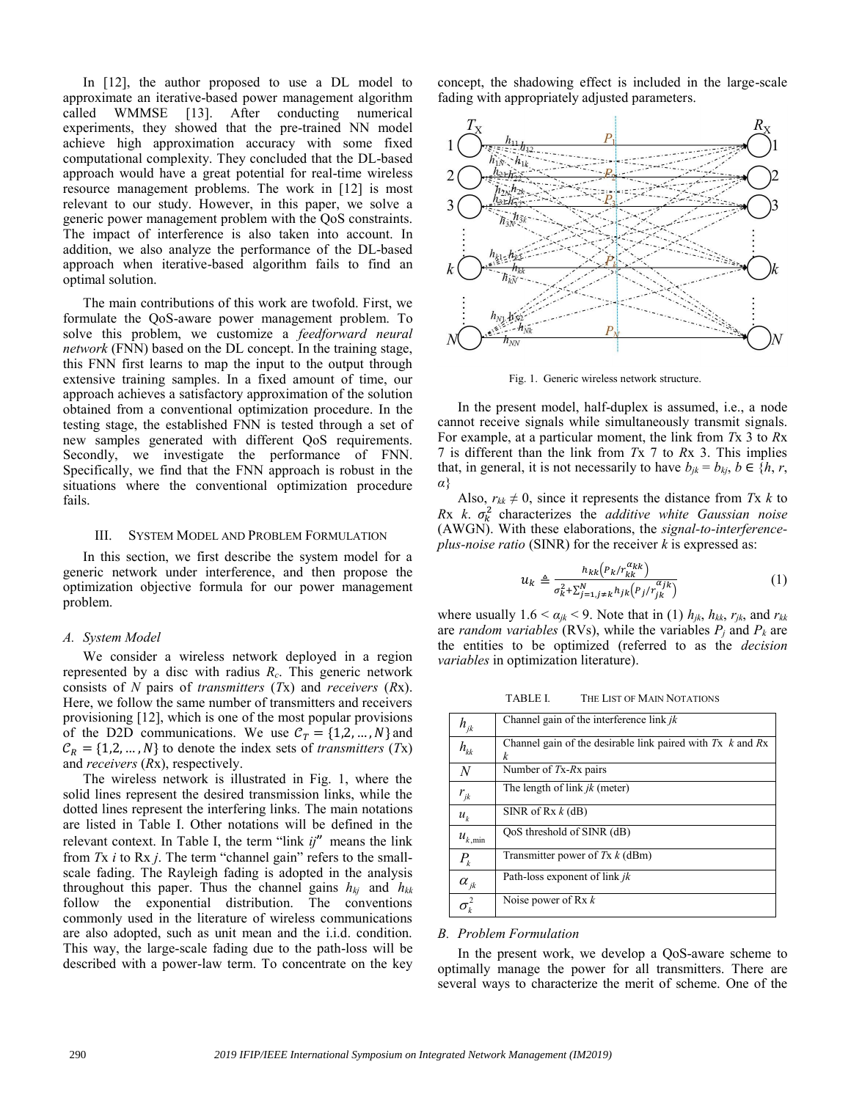In [12], the author proposed to use a DL model to approximate an iterative-based power management algorithm called WMMSE [13]. After conducting numerical experiments, they showed that the pre-trained NN model achieve high approximation accuracy with some fixed computational complexity. They concluded that the DL-based approach would have a great potential for real-time wireless resource management problems. The work in [12] is most relevant to our study. However, in this paper, we solve a generic power management problem with the QoS constraints. The impact of interference is also taken into account. In addition, we also analyze the performance of the DL-based approach when iterative-based algorithm fails to find an optimal solution.

The main contributions of this work are twofold. First, we formulate the QoS-aware power management problem. To solve this problem, we customize a *feedforward neural network* (FNN) based on the DL concept. In the training stage, this FNN first learns to map the input to the output through extensive training samples. In a fixed amount of time, our approach achieves a satisfactory approximation of the solution obtained from a conventional optimization procedure. In the testing stage, the established FNN is tested through a set of new samples generated with different QoS requirements. Secondly, we investigate the performance of FNN. Specifically, we find that the FNN approach is robust in the situations where the conventional optimization procedure fails.

## III. SYSTEM MODEL AND PROBLEM FORMULATION

In this section, we first describe the system model for a generic network under interference, and then propose the optimization objective formula for our power management problem.

#### *A. System Model*

We consider a wireless network deployed in a region represented by a disc with radius *Rc*. This generic network consists of *N* pairs of *transmitters* (*T*x) and *receivers* (*R*x). Here, we follow the same number of transmitters and receivers provisioning [12], which is one of the most popular provisions of the D2D communications. We use  $C_T = \{1, 2, ..., N\}$  and  $C_R = \{1, 2, ..., N\}$  to denote the index sets of *transmitters* (*Tx*) and *receivers* (*R*x), respectively.

The wireless network is illustrated in Fig. 1, where the solid lines represent the desired transmission links, while the dotted lines represent the interfering links. The main notations are listed in Table I. Other notations will be defined in the relevant context. In Table I, the term "link *ij*" means the link from *T*x *i* to Rx *j*. The term "channel gain" refers to the smallscale fading. The Rayleigh fading is adopted in the analysis throughout this paper. Thus the channel gains *hkj* and *hkk* follow the exponential distribution. The conventions commonly used in the literature of wireless communications are also adopted, such as unit mean and the i.i.d. condition. This way, the large-scale fading due to the path-loss will be described with a power-law term. To concentrate on the key concept, the shadowing effect is included in the large-scale fading with appropriately adjusted parameters.



Fig. 1. Generic wireless network structure.

In the present model, half-duplex is assumed, i.e., a node cannot receive signals while simultaneously transmit signals. For example, at a particular moment, the link from *T*x 3 to *R*x 7 is different than the link from *T*x 7 to *R*x 3. This implies that, in general, it is not necessarily to have  $b_{jk} = b_{kj}$ ,  $b \in \{h, r,$ *α*}

Also,  $r_{kk} \neq 0$ , since it represents the distance from *Tx k* to  $Rx$   $k$ .  $\sigma_k^2$  characterizes the *additive white Gaussian noise* (AWGN). With these elaborations, the *signal-to-interferenceplus-noise ratio* (SINR) for the receiver *k* is expressed as:

$$
u_k \triangleq \frac{h_{kk}(P_k/r_{kk}^{\alpha_{kk}})}{\sigma_k^2 + \sum_{j=1, j \neq k}^N h_{jk}(P_j/r_{jk}^{\alpha_{jk}})}
$$
(1)

where usually  $1.6 < \alpha_{jk} < 9$ . Note that in (1)  $h_{jk}$ ,  $h_{kk}$ ,  $r_{jk}$ , and  $r_{kk}$ are *random variables* (RVs), while the variables  $P_i$  and  $P_k$  are the entities to be optimized (referred to as the *decision variables* in optimization literature).

TABLE I. THE LIST OF MAIN NOTATIONS

| $h_{jk}$                          | Channel gain of the interference link $ik$                             |
|-----------------------------------|------------------------------------------------------------------------|
| $h_{_{kk}}$                       | Channel gain of the desirable link paired with $Tx \; k$ and $Rx$<br>k |
| $\overline{N}$                    | Number of $Tx-Rx$ pairs                                                |
| $r_{jk}$                          | The length of link $jk$ (meter)                                        |
| $u_{k}$                           | SINR of $Rx k$ (dB)                                                    |
| $u_{k,\min}$                      | OoS threshold of SINR (dB)                                             |
| $P_{k}$                           | Transmitter power of $Tx k$ (dBm)                                      |
| $\alpha_{ik}$                     | Path-loss exponent of link jk                                          |
| $\sigma_{\scriptscriptstyle k}^2$ | Noise power of Rx $k$                                                  |

#### *B. Problem Formulation*

In the present work, we develop a QoS-aware scheme to optimally manage the power for all transmitters. There are several ways to characterize the merit of scheme. One of the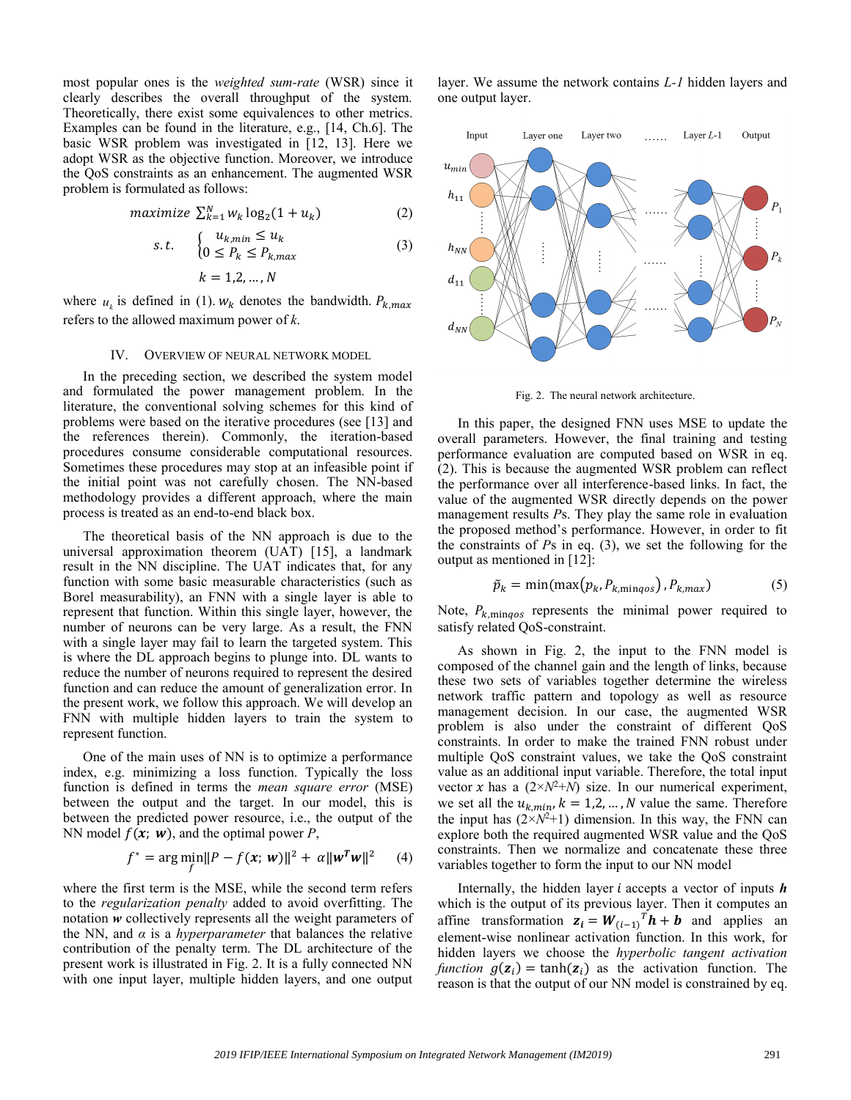most popular ones is the *weighted sum-rate* (WSR) since it clearly describes the overall throughput of the system. Theoretically, there exist some equivalences to other metrics. Examples can be found in the literature, e.g., [14, Ch.6]. The basic WSR problem was investigated in [12, 13]. Here we adopt WSR as the objective function. Moreover, we introduce the QoS constraints as an enhancement. The augmented WSR problem is formulated as follows:

$$
maximize \ \sum_{k=1}^{N} w_k \log_2(1 + u_k) \tag{2}
$$

$$
s.t. \quad \begin{cases} u_{k,min} \le u_k \\ 0 \le P_k \le P_{k,max} \end{cases} \tag{3}
$$

$$
k=1,2,\ldots,N
$$

where  $u_k$  is defined in (1).  $w_k$  denotes the bandwidth.  $P_{k,max}$ refers to the allowed maximum power of *k*.

#### IV. OVERVIEW OF NEURAL NETWORK MODEL

In the preceding section, we described the system model and formulated the power management problem. In the literature, the conventional solving schemes for this kind of problems were based on the iterative procedures (see [13] and the references therein). Commonly, the iteration-based procedures consume considerable computational resources. Sometimes these procedures may stop at an infeasible point if the initial point was not carefully chosen. The NN-based methodology provides a different approach, where the main process is treated as an end-to-end black box.

The theoretical basis of the NN approach is due to the universal approximation theorem (UAT) [15], a landmark result in the NN discipline. The UAT indicates that, for any function with some basic measurable characteristics (such as Borel measurability), an FNN with a single layer is able to represent that function. Within this single layer, however, the number of neurons can be very large. As a result, the FNN with a single layer may fail to learn the targeted system. This is where the DL approach begins to plunge into. DL wants to reduce the number of neurons required to represent the desired function and can reduce the amount of generalization error. In the present work, we follow this approach. We will develop an FNN with multiple hidden layers to train the system to represent function.

One of the main uses of NN is to optimize a performance index, e.g. minimizing a loss function. Typically the loss function is defined in terms the *mean square error* (MSE) between the output and the target. In our model, this is between the predicted power resource, i.e., the output of the NN model  $f(x; w)$ , and the optimal power *P*,

$$
f^* = \arg\min_{f} ||P - f(x; w)||^2 + \alpha ||w^T w||^2 \qquad (4)
$$

where the first term is the MSE, while the second term refers to the *regularization penalty* added to avoid overfitting. The notation *w* collectively represents all the weight parameters of the NN, and  $\alpha$  is a *hyperparameter* that balances the relative contribution of the penalty term. The DL architecture of the present work is illustrated in Fig. 2. It is a fully connected NN with one input layer, multiple hidden layers, and one output

layer. We assume the network contains *L-1* hidden layers and one output layer.



Fig. 2. The neural network architecture.

In this paper, the designed FNN uses MSE to update the overall parameters. However, the final training and testing performance evaluation are computed based on WSR in eq. (2). This is because the augmented WSR problem can reflect the performance over all interference-based links. In fact, the value of the augmented WSR directly depends on the power management results *P*s. They play the same role in evaluation the proposed method's performance. However, in order to fit the constraints of *P*s in eq. (3), we set the following for the output as mentioned in [12]:

$$
\tilde{p}_k = \min(\max(p_k, P_{k, \min qos}), P_{k, \max})
$$
\n(5)

Note,  $P_{k,\text{mingos}}$  represents the minimal power required to satisfy related QoS-constraint.

As shown in Fig. 2, the input to the FNN model is composed of the channel gain and the length of links, because these two sets of variables together determine the wireless network traffic pattern and topology as well as resource management decision. In our case, the augmented WSR problem is also under the constraint of different QoS constraints. In order to make the trained FNN robust under multiple QoS constraint values, we take the QoS constraint value as an additional input variable. Therefore, the total input vector x has a  $(2 \times N^2 + N)$  size. In our numerical experiment, we set all the  $u_{k,min}$ ,  $k = 1,2,...,N$  value the same. Therefore the input has  $(2 \times N^2 + 1)$  dimension. In this way, the FNN can explore both the required augmented WSR value and the QoS constraints. Then we normalize and concatenate these three variables together to form the input to our NN model

Internally, the hidden layer  $i$  accepts a vector of inputs  $h$ which is the output of its previous layer. Then it computes an affine transformation  $z_i = W_{(i-1)}^T h + b$  and applies an element-wise nonlinear activation function. In this work, for hidden layers we choose the *hyperbolic tangent activation function*  $g(\mathbf{z}_i) = \tanh(\mathbf{z}_i)$  as the activation function. The reason is that the output of our NN model is constrained by eq.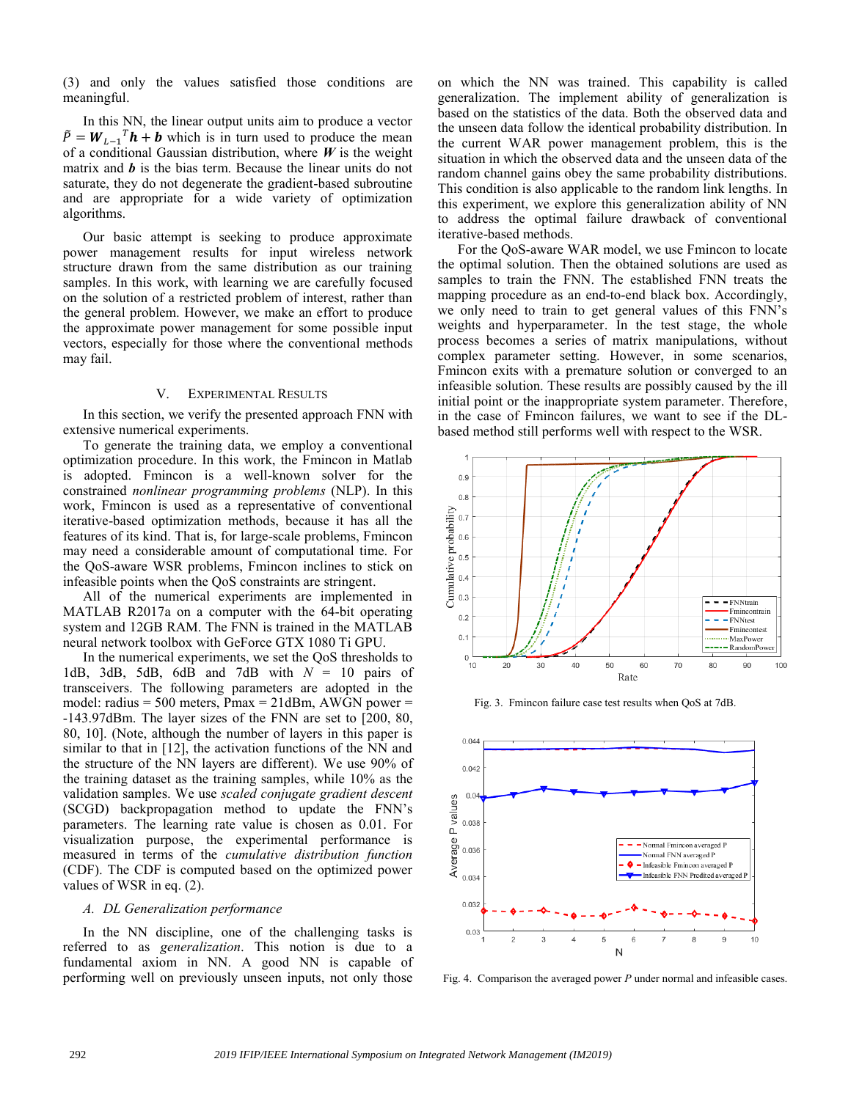(3) and only the values satisfied those conditions are meaningful.

In this NN, the linear output units aim to produce a vector  $\tilde{P} = W_{L-1}^T h + b$  which is in turn used to produce the mean of a conditional Gaussian distribution, where  $W$  is the weight matrix and *b* is the bias term. Because the linear units do not saturate, they do not degenerate the gradient-based subroutine and are appropriate for a wide variety of optimization algorithms.

Our basic attempt is seeking to produce approximate power management results for input wireless network structure drawn from the same distribution as our training samples. In this work, with learning we are carefully focused on the solution of a restricted problem of interest, rather than the general problem. However, we make an effort to produce the approximate power management for some possible input vectors, especially for those where the conventional methods may fail.

### V. EXPERIMENTAL RESULTS

In this section, we verify the presented approach FNN with extensive numerical experiments.

To generate the training data, we employ a conventional optimization procedure. In this work, the Fmincon in Matlab is adopted. Fmincon is a well-known solver for the constrained *nonlinear programming problems* (NLP). In this work, Fmincon is used as a representative of conventional iterative-based optimization methods, because it has all the features of its kind. That is, for large-scale problems, Fmincon may need a considerable amount of computational time. For the QoS-aware WSR problems, Fmincon inclines to stick on infeasible points when the QoS constraints are stringent.

All of the numerical experiments are implemented in MATLAB R2017a on a computer with the 64-bit operating system and 12GB RAM. The FNN is trained in the MATLAB neural network toolbox with GeForce GTX 1080 Ti GPU.

In the numerical experiments, we set the QoS thresholds to 1dB, 3dB, 5dB, 6dB and 7dB with *N* = 10 pairs of transceivers. The following parameters are adopted in the model: radius =  $500$  meters, Pmax =  $21$ dBm, AWGN power = -143.97dBm. The layer sizes of the FNN are set to [200, 80, 80, 10]. (Note, although the number of layers in this paper is similar to that in [12], the activation functions of the NN and the structure of the NN layers are different). We use 90% of the training dataset as the training samples, while 10% as the validation samples. We use *scaled conjugate gradient descent* (SCGD) backpropagation method to update the FNN's parameters. The learning rate value is chosen as 0.01. For visualization purpose, the experimental performance is measured in terms of the *cumulative distribution function* (CDF). The CDF is computed based on the optimized power values of WSR in eq. (2).

# *A. DL Generalization performance*

In the NN discipline, one of the challenging tasks is referred to as *generalization*. This notion is due to a fundamental axiom in NN. A good NN is capable of performing well on previously unseen inputs, not only those on which the NN was trained. This capability is called generalization. The implement ability of generalization is based on the statistics of the data. Both the observed data and the unseen data follow the identical probability distribution. In the current WAR power management problem, this is the situation in which the observed data and the unseen data of the random channel gains obey the same probability distributions. This condition is also applicable to the random link lengths. In this experiment, we explore this generalization ability of NN to address the optimal failure drawback of conventional iterative-based methods.

For the QoS-aware WAR model, we use Fmincon to locate the optimal solution. Then the obtained solutions are used as samples to train the FNN. The established FNN treats the mapping procedure as an end-to-end black box. Accordingly, we only need to train to get general values of this FNN's weights and hyperparameter. In the test stage, the whole process becomes a series of matrix manipulations, without complex parameter setting. However, in some scenarios, Fmincon exits with a premature solution or converged to an infeasible solution. These results are possibly caused by the ill initial point or the inappropriate system parameter. Therefore, in the case of Fmincon failures, we want to see if the DLbased method still performs well with respect to the WSR.



Fig. 3. Fmincon failure case test results when QoS at 7dB.



Fig. 4. Comparison the averaged power *P* under normal and infeasible cases.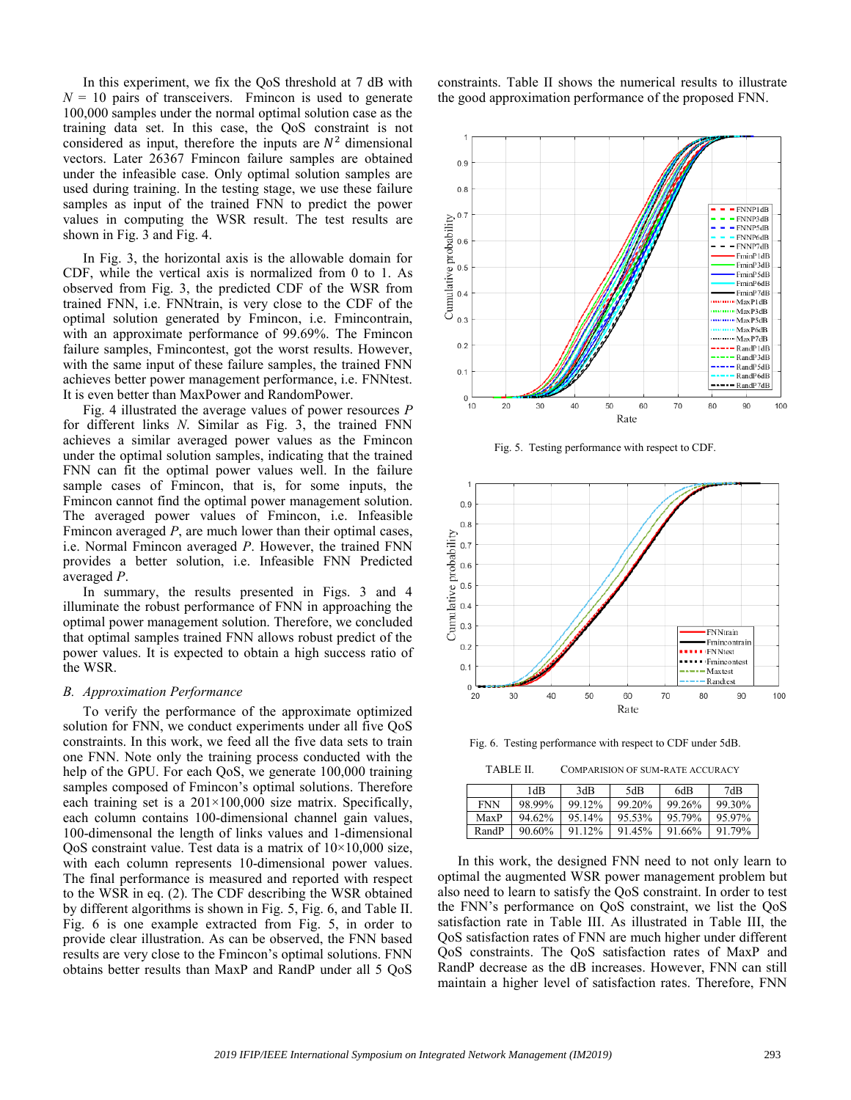In this experiment, we fix the QoS threshold at 7 dB with  $N = 10$  pairs of transceivers. Fmincon is used to generate 100,000 samples under the normal optimal solution case as the training data set. In this case, the QoS constraint is not considered as input, therefore the inputs are  $N^2$  dimensional vectors. Later 26367 Fmincon failure samples are obtained under the infeasible case. Only optimal solution samples are used during training. In the testing stage, we use these failure samples as input of the trained FNN to predict the power values in computing the WSR result. The test results are shown in Fig. 3 and Fig. 4.

In Fig. 3, the horizontal axis is the allowable domain for CDF, while the vertical axis is normalized from 0 to 1. As observed from Fig. 3, the predicted CDF of the WSR from trained FNN, i.e. FNNtrain, is very close to the CDF of the optimal solution generated by Fmincon, i.e. Fmincontrain, with an approximate performance of 99.69%. The Fmincon failure samples, Fmincontest, got the worst results. However, with the same input of these failure samples, the trained FNN achieves better power management performance, i.e. FNNtest. It is even better than MaxPower and RandomPower.

Fig. 4 illustrated the average values of power resources *P* for different links *N*. Similar as Fig. 3, the trained FNN achieves a similar averaged power values as the Fmincon under the optimal solution samples, indicating that the trained FNN can fit the optimal power values well. In the failure sample cases of Fmincon, that is, for some inputs, the Fmincon cannot find the optimal power management solution. The averaged power values of Fmincon, i.e. Infeasible Fmincon averaged *P*, are much lower than their optimal cases, i.e. Normal Fmincon averaged *P*. However, the trained FNN provides a better solution, i.e. Infeasible FNN Predicted averaged *P*.

In summary, the results presented in Figs. 3 and 4 illuminate the robust performance of FNN in approaching the optimal power management solution. Therefore, we concluded that optimal samples trained FNN allows robust predict of the power values. It is expected to obtain a high success ratio of the WSR.

#### *B. Approximation Performance*

To verify the performance of the approximate optimized solution for FNN, we conduct experiments under all five QoS constraints. In this work, we feed all the five data sets to train one FNN. Note only the training process conducted with the help of the GPU. For each QoS, we generate 100,000 training samples composed of Fmincon's optimal solutions. Therefore each training set is a  $201 \times 100,000$  size matrix. Specifically, each column contains 100-dimensional channel gain values, 100-dimensonal the length of links values and 1-dimensional QoS constraint value. Test data is a matrix of  $10\times10,000$  size, with each column represents 10-dimensional power values. The final performance is measured and reported with respect to the WSR in eq. (2). The CDF describing the WSR obtained by different algorithms is shown in Fig. 5, Fig. 6, and Table II. Fig. 6 is one example extracted from Fig. 5, in order to provide clear illustration. As can be observed, the FNN based results are very close to the Fmincon's optimal solutions. FNN obtains better results than MaxP and RandP under all 5 QoS

constraints. Table II shows the numerical results to illustrate the good approximation performance of the proposed FNN.



Fig. 5. Testing performance with respect to CDF.



Fig. 6. Testing performance with respect to CDF under 5dB.

TABLE II. COMPARISION OF SUM-RATE ACCURACY

|            | 1dB    | 3dB    | 5dB    | 6dB    | 7dB    |
|------------|--------|--------|--------|--------|--------|
| <b>FNN</b> | 98.99% | 99.12% | 99.20% | 99.26% | 99.30% |
| MaxP       | 94.62% | 95.14% | 95.53% | 95.79% | 95.97% |
| RandP      | 90.60% | 91 12% | 91.45% | 91.66% | 91.79% |

In this work, the designed FNN need to not only learn to optimal the augmented WSR power management problem but also need to learn to satisfy the QoS constraint. In order to test the FNN's performance on QoS constraint, we list the QoS satisfaction rate in Table III. As illustrated in Table III, the QoS satisfaction rates of FNN are much higher under different QoS constraints. The QoS satisfaction rates of MaxP and RandP decrease as the dB increases. However, FNN can still maintain a higher level of satisfaction rates. Therefore, FNN